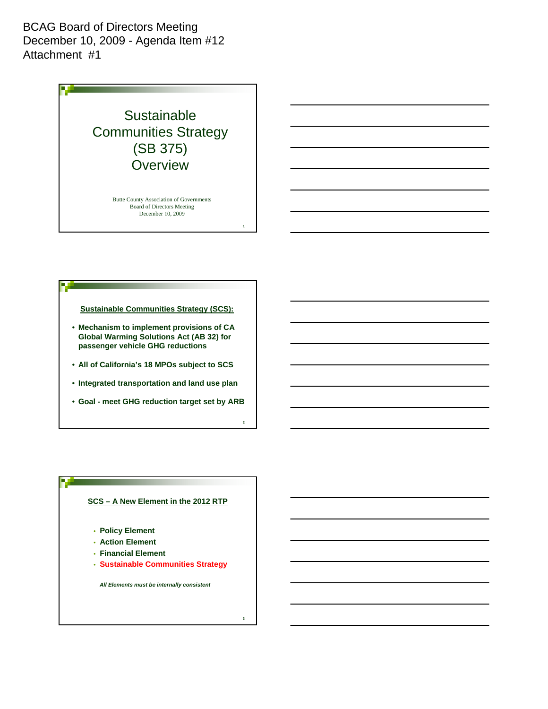BCAG Board of Directors Meeting December 10, 2009 - Agenda Item #12 Attachment #1

## **Sustainable** Communities Strategy (SB 375) **Overview**

Butte County Association of Governments Board of Directors Meeting December 10, 2009

1

 $\overline{2}$ 

3



#### **SCS – A New Element in the 2012 RTP**

- **Policy Element**
- **Action Element**
- **Financial Element**
- **Sustainable Communities Strategy**

*All Elements must be internally consistent*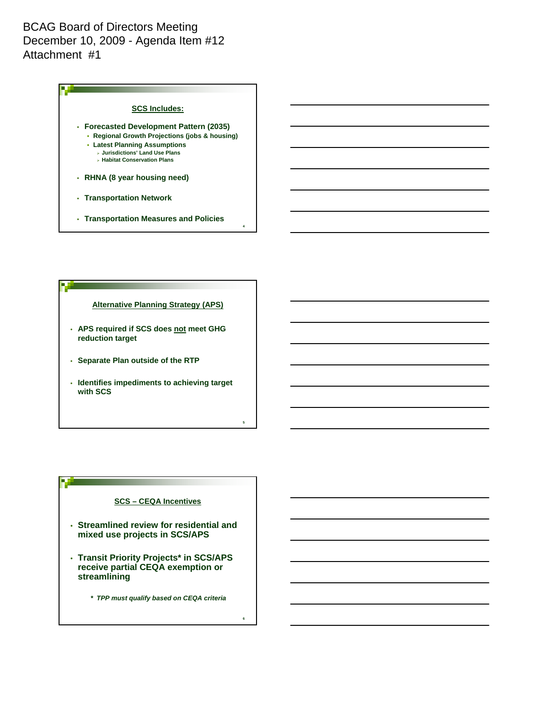## BCAG Board of Directors Meeting December 10, 2009 - Agenda Item #12 Attachment #1



# **Alternative Planning Strategy (APS)** • **APS required if SCS does not meet GHG reduction target** • **Separate Plan outside of the RTP** • **Identifies impediments to achieving target with SCS**

#### **SCS – CEQA Incentives**

5

6

- **Streamlined review for residential and mixed use projects in SCS/APS**
- **Transit Priority Projects\* in SCS/APS receive partial CEQA exemption or streamlining**
	- *\* TPP must qualify based on CEQA criteria*